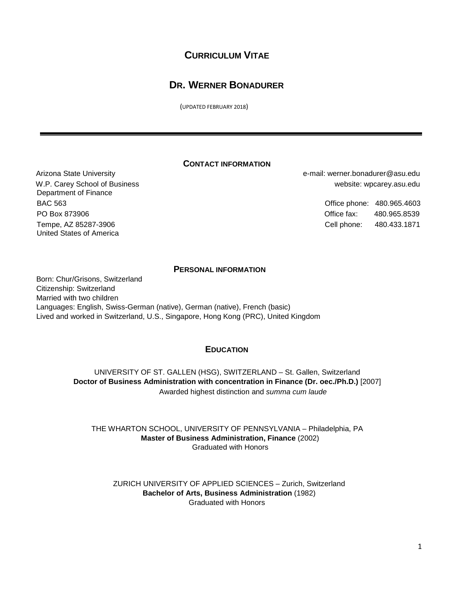# **CURRICULUM VITAE**

# **DR. WERNER BONADURER**

(UPDATED FEBRUARY 2018)

## **CONTACT INFORMATION**

 W.P. Carey School of Business Department of Finance BAC 563 Office phone: 480.965.4603 PO Box 873906 Office fax: 480.965.8539 Tempe, AZ 85287-3906 United States of America

 Arizona State University e-mail: werner.bonadurer@asu.edu website: wpcarey.asu.edu

Cell phone: 480.433.1871

### **PERSONAL INFORMATION**

Born: Chur/Grisons, Switzerland Citizenship: Switzerland Married with two children Languages: English, Swiss-German (native), German (native), French (basic) Lived and worked in Switzerland, U.S., Singapore, Hong Kong (PRC), United Kingdom

## **EDUCATION**

UNIVERSITY OF ST. GALLEN (HSG), SWITZERLAND – St. Gallen, Switzerland **Doctor of Business Administration with concentration in Finance (Dr. oec./Ph.D.)** [2007] Awarded highest distinction and *summa cum laude*

THE WHARTON SCHOOL, UNIVERSITY OF PENNSYLVANIA – Philadelphia, PA **Master of Business Administration, Finance** (2002) Graduated with Honors

ZURICH UNIVERSITY OF APPLIED SCIENCES – Zurich, Switzerland **Bachelor of Arts, Business Administration** (1982) Graduated with Honors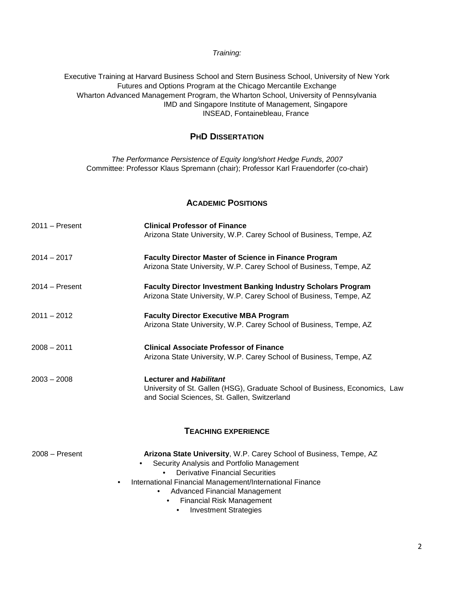### *Training:*

Executive Training at Harvard Business School and Stern Business School, University of New York Futures and Options Program at the Chicago Mercantile Exchange Wharton Advanced Management Program, the Wharton School, University of Pennsylvania IMD and Singapore Institute of Management, Singapore INSEAD, Fontainebleau, France

## **PHD DISSERTATION**

*The Performance Persistence of Equity long/short Hedge Funds, 2007* Committee: Professor Klaus Spremann (chair); Professor Karl Frauendorfer (co-chair)

### **ACADEMIC POSITIONS**

| $2011 -$ Present | <b>Clinical Professor of Finance</b>                                                                                        |
|------------------|-----------------------------------------------------------------------------------------------------------------------------|
|                  | Arizona State University, W.P. Carey School of Business, Tempe, AZ                                                          |
| $2014 - 2017$    | <b>Faculty Director Master of Science in Finance Program</b>                                                                |
|                  | Arizona State University, W.P. Carey School of Business, Tempe, AZ                                                          |
| $2014 -$ Present | <b>Faculty Director Investment Banking Industry Scholars Program</b>                                                        |
|                  | Arizona State University, W.P. Carey School of Business, Tempe, AZ                                                          |
| $2011 - 2012$    | <b>Faculty Director Executive MBA Program</b>                                                                               |
|                  | Arizona State University, W.P. Carey School of Business, Tempe, AZ                                                          |
| $2008 - 2011$    | <b>Clinical Associate Professor of Finance</b>                                                                              |
|                  | Arizona State University, W.P. Carey School of Business, Tempe, AZ                                                          |
| $2003 - 2008$    | Lecturer and Habilitant                                                                                                     |
|                  | University of St. Gallen (HSG), Graduate School of Business, Economics, Law<br>and Social Sciences, St. Gallen, Switzerland |
|                  |                                                                                                                             |
|                  |                                                                                                                             |
|                  | <b>TEACHING EXPERIENCE</b>                                                                                                  |
|                  |                                                                                                                             |

| 2008 – Present | Arizona State University, W.P. Carey School of Business, Tempe, AZ |
|----------------|--------------------------------------------------------------------|
|                | Security Analysis and Portfolio Management                         |
|                | <b>Derivative Financial Securities</b><br>$\bullet$                |
|                | International Financial Management/International Finance<br>٠      |
|                | <b>Advanced Financial Management</b>                               |
|                | <b>Financial Risk Management</b>                                   |
|                | <b>Investment Strategies</b>                                       |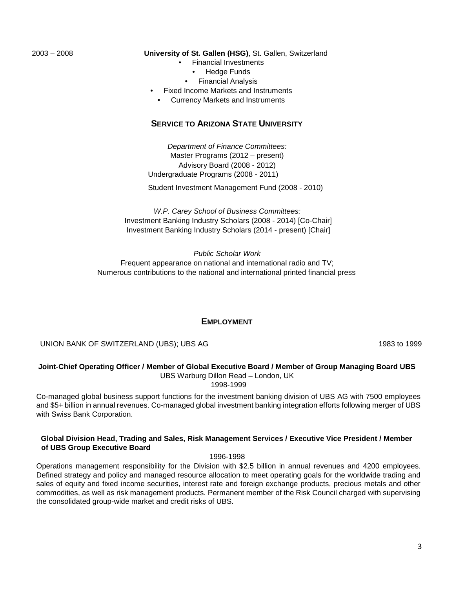#### 2003 – 2008 **University of St. Gallen (HSG)**, St. Gallen, Switzerland

- Financial Investments
	- **Hedge Funds**
	- Financial Analysis
- Fixed Income Markets and Instruments
- Currency Markets and Instruments

### **SERVICE TO ARIZONA STATE UNIVERSITY**

*Department of Finance Committees:*  Master Programs (2012 – present) Advisory Board (2008 - 2012) Undergraduate Programs (2008 - 2011)

Student Investment Management Fund (2008 - 2010)

*W.P. Carey School of Business Committees:* Investment Banking Industry Scholars (2008 - 2014) [Co-Chair] Investment Banking Industry Scholars (2014 - present) [Chair]

*Public Scholar Work* Frequent appearance on national and international radio and TV; Numerous contributions to the national and international printed financial press

### **EMPLOYMENT**

UNION BANK OF SWITZERLAND (UBS); UBS AG 1999 1983 to 1999

#### **Joint-Chief Operating Officer / Member of Global Executive Board / Member of Group Managing Board UBS** UBS Warburg Dillon Read – London, UK

1998-1999

Co-managed global business support functions for the investment banking division of UBS AG with 7500 employees and \$5+ billion in annual revenues. Co-managed global investment banking integration efforts following merger of UBS with Swiss Bank Corporation.

#### **Global Division Head, Trading and Sales, Risk Management Services / Executive Vice President / Member of UBS Group Executive Board**

1996-1998

Operations management responsibility for the Division with \$2.5 billion in annual revenues and 4200 employees. Defined strategy and policy and managed resource allocation to meet operating goals for the worldwide trading and sales of equity and fixed income securities, interest rate and foreign exchange products, precious metals and other commodities, as well as risk management products. Permanent member of the Risk Council charged with supervising the consolidated group-wide market and credit risks of UBS.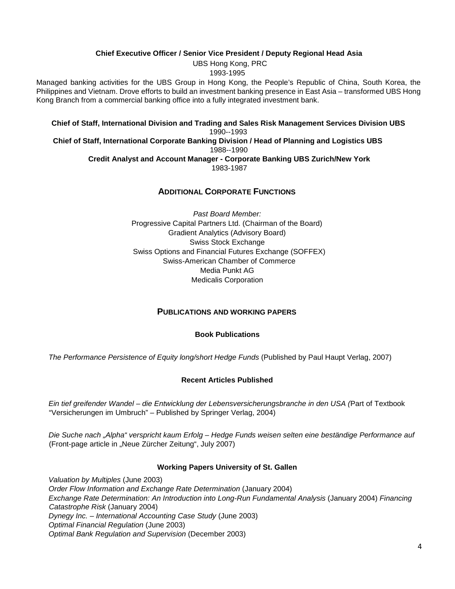### **Chief Executive Officer / Senior Vice President / Deputy Regional Head Asia**

UBS Hong Kong, PRC 1993-1995

Managed banking activities for the UBS Group in Hong Kong, the People's Republic of China, South Korea, the Philippines and Vietnam. Drove efforts to build an investment banking presence in East Asia – transformed UBS Hong Kong Branch from a commercial banking office into a fully integrated investment bank.

**Chief of Staff, International Division and Trading and Sales Risk Management Services Division UBS** 1990--1993 **Chief of Staff, International Corporate Banking Division / Head of Planning and Logistics UBS** 1988--1990 **Credit Analyst and Account Manager - Corporate Banking UBS Zurich/New York** 1983-1987

# **ADDITIONAL CORPORATE FUNCTIONS**

*Past Board Member:* Progressive Capital Partners Ltd. (Chairman of the Board) Gradient Analytics (Advisory Board) Swiss Stock Exchange Swiss Options and Financial Futures Exchange (SOFFEX) Swiss-American Chamber of Commerce Media Punkt AG Medicalis Corporation

### **PUBLICATIONS AND WORKING PAPERS**

### **Book Publications**

*The Performance Persistence of Equity long/short Hedge Funds* (Published by Paul Haupt Verlag, 2007)

### **Recent Articles Published**

*Ein tief greifender Wandel – die Entwicklung der Lebensversicherungsbranche in den USA (*Part of Textbook "Versicherungen im Umbruch" – Published by Springer Verlag, 2004)

*Die Suche nach "Alpha" verspricht kaum Erfolg – Hedge Funds weisen selten eine beständige Performance auf* (Front-page article in "Neue Zürcher Zeitung", July 2007)

### **Working Papers University of St. Gallen**

*Valuation by Multiples* (June 2003) *Order Flow Information and Exchange Rate Determination* (January 2004) *Exchange Rate Determination: An Introduction into Long-Run Fundamental Analysis* (January 2004) *Financing Catastrophe Risk* (January 2004) *Dynegy Inc. – International Accounting Case Study* (June 2003) *Optimal Financial Regulation* (June 2003) *Optimal Bank Regulation and Supervision* (December 2003)